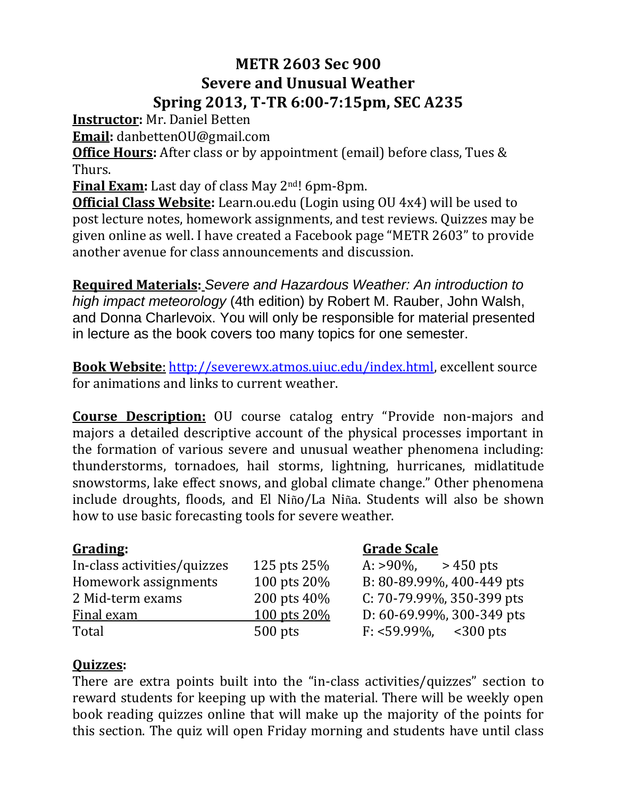# **METR 2603 Sec 900 Severe and Unusual Weather Spring 2013, T-TR 6:00-7:15pm, SEC A235**

**Instructor:** Mr. Daniel Betten

**Email:** danbettenOU@gmail.com

**Office Hours:** After class or by appointment (email) before class, Tues & Thurs.

**Final Exam:** Last day of class May 2nd! 6pm-8pm.

**Official Class Website:** Learn.ou.edu (Login using OU 4x4) will be used to post lecture notes, homework assignments, and test reviews. Quizzes may be given online as well. I have created a Facebook page "METR 2603" to provide another avenue for class announcements and discussion.

**Required Materials:** *Severe and Hazardous Weather: An introduction to high impact meteorology* (4th edition) by Robert M. Rauber, John Walsh, and Donna Charlevoix. You will only be responsible for material presented in lecture as the book covers too many topics for one semester.

**Book Website**: [http://severewx.atmos.uiuc.edu/index.html,](http://severewx.atmos.uiuc.edu/index.html) excellent source for animations and links to current weather.

**Course Description:** OU course catalog entry "Provide non-majors and majors a detailed descriptive account of the physical processes important in the formation of various severe and unusual weather phenomena including: thunderstorms, tornadoes, hail storms, lightning, hurricanes, midlatitude snowstorms, lake effect snows, and global climate change." Other phenomena include droughts, floods, and El Niño/La Niña. Students will also be shown how to use basic forecasting tools for severe weather.

| In-class activities/quizzes | 125 pts 25%      | $>450$ pts<br>$A: > 90\%$           |
|-----------------------------|------------------|-------------------------------------|
| Homework assignments        | 100 pts 20%      | B: 80-89.99%, 400-449 pts           |
| 2 Mid-term exams            | 200 pts 40%      | $C: 70-79.99\%$ , 350-399 pts       |
| <b>Final exam</b>           | $100$ pts $20\%$ | D: $60-69.99\%$ , 300-349 pts       |
| Total                       | $500$ pts        | $F: <59.99\%$ , $< 300 \text{ pts}$ |

## **Grading: Grade Scale**

| A: >90%,     | > 450 pts                     |
|--------------|-------------------------------|
|              | B: 80-89.99%, 400-449 pts     |
|              | $C: 70-79.99\%$ , 350-399 pts |
|              | D: 60-69.99%, 300-349 pts     |
| $F: 59.99\%$ | $300$ pts                     |

## **Quizzes:**

There are extra points built into the "in-class activities/quizzes" section to reward students for keeping up with the material. There will be weekly open book reading quizzes online that will make up the majority of the points for this section. The quiz will open Friday morning and students have until class